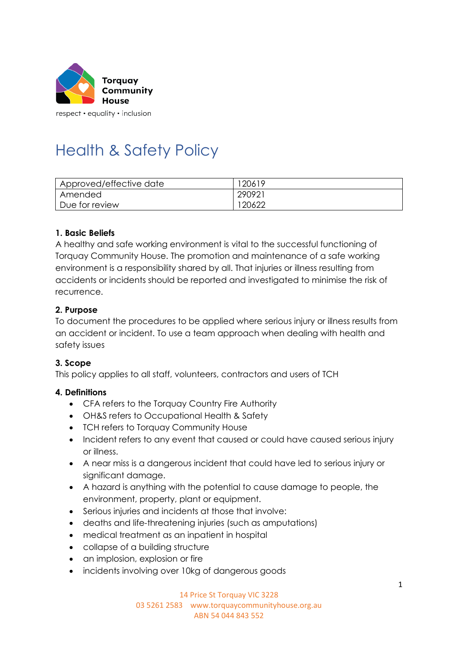

respect • equality • inclusion

# Health & Safety Policy

| Approved/effective date | 120619 |
|-------------------------|--------|
| Amended                 | 290921 |
| Due for review          | 120622 |

#### **1. Basic Beliefs**

A healthy and safe working environment is vital to the successful functioning of Torquay Community House. The promotion and maintenance of a safe working environment is a responsibility shared by all. That injuries or illness resulting from accidents or incidents should be reported and investigated to minimise the risk of recurrence.

#### **2. Purpose**

To document the procedures to be applied where serious injury or illness results from an accident or incident. To use a team approach when dealing with health and safety issues

#### **3. Scope**

This policy applies to all staff, volunteers, contractors and users of TCH

#### **4. Definitions**

- CFA refers to the Torquay Country Fire Authority
- OH&S refers to Occupational Health & Safety
- TCH refers to Torquay Community House
- Incident refers to any event that caused or could have caused serious injury or illness.
- A near miss is a dangerous incident that could have led to serious injury or significant damage.
- A hazard is anything with the potential to cause damage to people, the environment, property, plant or equipment.
- Serious injuries and incidents at those that involve:
- deaths and life-threatening injuries (such as amputations)
- medical treatment as an inpatient in hospital
- collapse of a building structure
- an implosion, explosion or fire
- incidents involving over 10kg of dangerous goods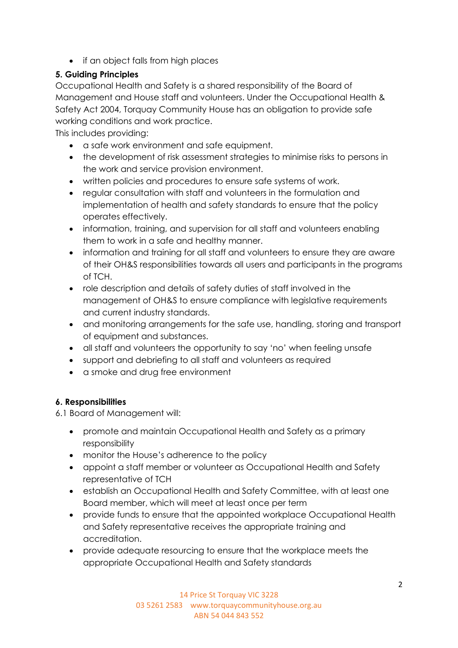• if an object falls from high places

## **5. Guiding Principles**

Occupational Health and Safety is a shared responsibility of the Board of Management and House staff and volunteers. Under the Occupational Health & Safety Act 2004, Torquay Community House has an obligation to provide safe working conditions and work practice.

This includes providing:

- a safe work environment and safe equipment.
- the development of risk assessment strategies to minimise risks to persons in the work and service provision environment.
- written policies and procedures to ensure safe systems of work.
- regular consultation with staff and volunteers in the formulation and implementation of health and safety standards to ensure that the policy operates effectively.
- information, training, and supervision for all staff and volunteers enabling them to work in a safe and healthy manner.
- information and training for all staff and volunteers to ensure they are aware of their OH&S responsibilities towards all users and participants in the programs of TCH.
- role description and details of safety duties of staff involved in the management of OH&S to ensure compliance with legislative requirements and current industry standards.
- and monitoring arrangements for the safe use, handling, storing and transport of equipment and substances.
- all staff and volunteers the opportunity to say 'no' when feeling unsafe
- support and debriefing to all staff and volunteers as required
- a smoke and drug free environment

## **6. Responsibilities**

6.1 Board of Management will:

- promote and maintain Occupational Health and Safety as a primary responsibility
- monitor the House's adherence to the policy
- appoint a staff member or volunteer as Occupational Health and Safety representative of TCH
- establish an Occupational Health and Safety Committee, with at least one Board member, which will meet at least once per term
- provide funds to ensure that the appointed workplace Occupational Health and Safety representative receives the appropriate training and accreditation.
- provide adequate resourcing to ensure that the workplace meets the appropriate Occupational Health and Safety standards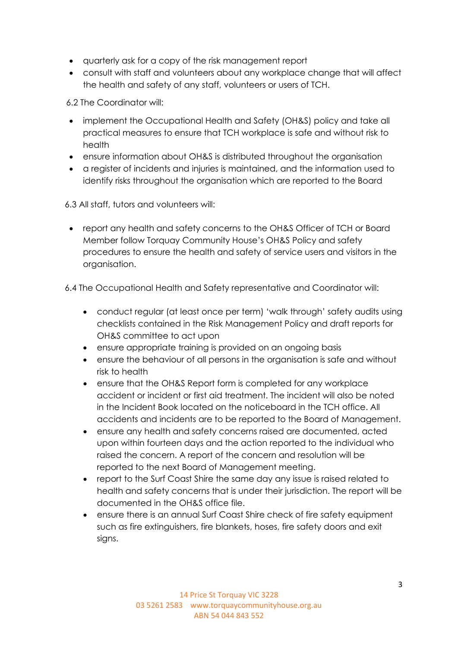- quarterly ask for a copy of the risk management report
- consult with staff and volunteers about any workplace change that will affect the health and safety of any staff, volunteers or users of TCH.

6.2 The Coordinator will:

- implement the Occupational Health and Safety (OH&S) policy and take all practical measures to ensure that TCH workplace is safe and without risk to health
- ensure information about OH&S is distributed throughout the organisation
- a register of incidents and injuries is maintained, and the information used to identify risks throughout the organisation which are reported to the Board
- 6.3 All staff, tutors and volunteers will:
- report any health and safety concerns to the OH&S Officer of TCH or Board Member follow Torquay Community House's OH&S Policy and safety procedures to ensure the health and safety of service users and visitors in the organisation.

6.4 The Occupational Health and Safety representative and Coordinator will:

- conduct regular (at least once per term) 'walk through' safety audits using checklists contained in the Risk Management Policy and draft reports for OH&S committee to act upon
- ensure appropriate training is provided on an ongoing basis
- ensure the behaviour of all persons in the organisation is safe and without risk to health
- ensure that the OH&S Report form is completed for any workplace accident or incident or first aid treatment. The incident will also be noted in the Incident Book located on the noticeboard in the TCH office. All accidents and incidents are to be reported to the Board of Management.
- ensure any health and safety concerns raised are documented, acted upon within fourteen days and the action reported to the individual who raised the concern. A report of the concern and resolution will be reported to the next Board of Management meeting.
- report to the Surf Coast Shire the same day any issue is raised related to health and safety concerns that is under their jurisdiction. The report will be documented in the OH&S office file.
- ensure there is an annual Surf Coast Shire check of fire safety equipment such as fire extinguishers, fire blankets, hoses, fire safety doors and exit signs.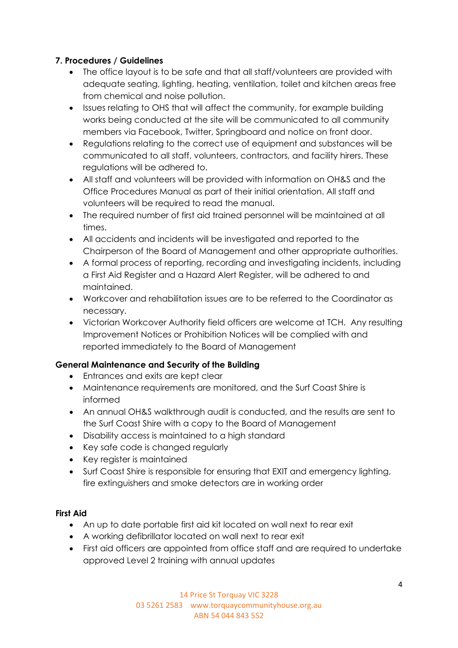### **7. Procedures / Guidelines**

- The office layout is to be safe and that all staff/volunteers are provided with adequate seating, lighting, heating, ventilation, toilet and kitchen areas free from chemical and noise pollution.
- Issues relating to OHS that will affect the community, for example building works being conducted at the site will be communicated to all community members via Facebook, Twitter, Springboard and notice on front door.
- Regulations relating to the correct use of equipment and substances will be communicated to all staff, volunteers, contractors, and facility hirers. These regulations will be adhered to.
- All staff and volunteers will be provided with information on OH&S and the Office Procedures Manual as part of their initial orientation. All staff and volunteers will be required to read the manual.
- The required number of first aid trained personnel will be maintained at all times.
- All accidents and incidents will be investigated and reported to the Chairperson of the Board of Management and other appropriate authorities.
- A formal process of reporting, recording and investigating incidents, including a First Aid Register and a Hazard Alert Register, will be adhered to and maintained.
- Workcover and rehabilitation issues are to be referred to the Coordinator as necessary.
- Victorian Workcover Authority field officers are welcome at TCH. Any resulting Improvement Notices or Prohibition Notices will be complied with and reported immediately to the Board of Management

### **General Maintenance and Security of the Building**

- Entrances and exits are kept clear
- Maintenance requirements are monitored, and the Surf Coast Shire is informed
- An annual OH&S walkthrough audit is conducted, and the results are sent to the Surf Coast Shire with a copy to the Board of Management
- Disability access is maintained to a high standard
- Key safe code is changed regularly
- Key register is maintained
- Surf Coast Shire is responsible for ensuring that EXIT and emergency lighting, fire extinguishers and smoke detectors are in working order

### **First Aid**

- An up to date portable first aid kit located on wall next to rear exit
- A working defibrillator located on wall next to rear exit
- First aid officers are appointed from office staff and are required to undertake approved Level 2 training with annual updates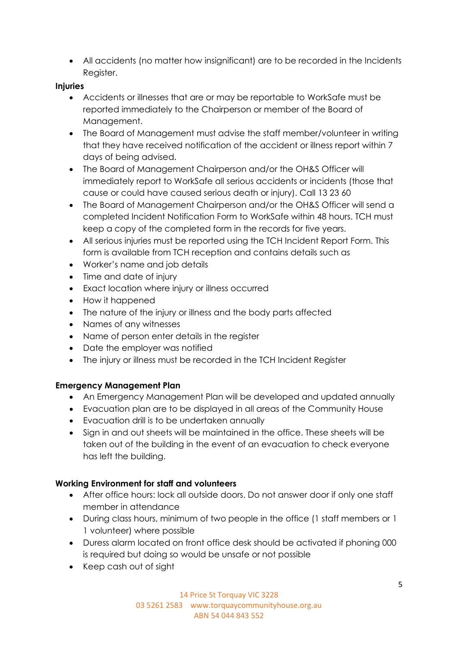• All accidents (no matter how insignificant) are to be recorded in the Incidents Register.

#### **Injuries**

- Accidents or illnesses that are or may be reportable to WorkSafe must be reported immediately to the Chairperson or member of the Board of Management.
- The Board of Management must advise the staff member/volunteer in writing that they have received notification of the accident or illness report within 7 days of being advised.
- The Board of Management Chairperson and/or the OH&S Officer will immediately report to WorkSafe all serious accidents or incidents (those that cause or could have caused serious death or injury). Call 13 23 60
- The Board of Management Chairperson and/or the OH&S Officer will send a completed Incident Notification Form to WorkSafe within 48 hours. TCH must keep a copy of the completed form in the records for five years.
- All serious injuries must be reported using the TCH Incident Report Form. This form is available from TCH reception and contains details such as
- Worker's name and job details
- Time and date of injury
- Exact location where injury or illness occurred
- How it happened
- The nature of the injury or illness and the body parts affected
- Names of any witnesses
- Name of person enter details in the register
- Date the employer was notified
- The injury or illness must be recorded in the TCH Incident Register

### **Emergency Management Plan**

- An Emergency Management Plan will be developed and updated annually
- Evacuation plan are to be displayed in all areas of the Community House
- Evacuation drill is to be undertaken annually
- Sign in and out sheets will be maintained in the office. These sheets will be taken out of the building in the event of an evacuation to check everyone has left the building.

### **Working Environment for staff and volunteers**

- After office hours: lock all outside doors. Do not answer door if only one staff member in attendance
- During class hours, minimum of two people in the office (1 staff members or 1 1 volunteer) where possible
- Duress alarm located on front office desk should be activated if phoning 000 is required but doing so would be unsafe or not possible
- Keep cash out of sight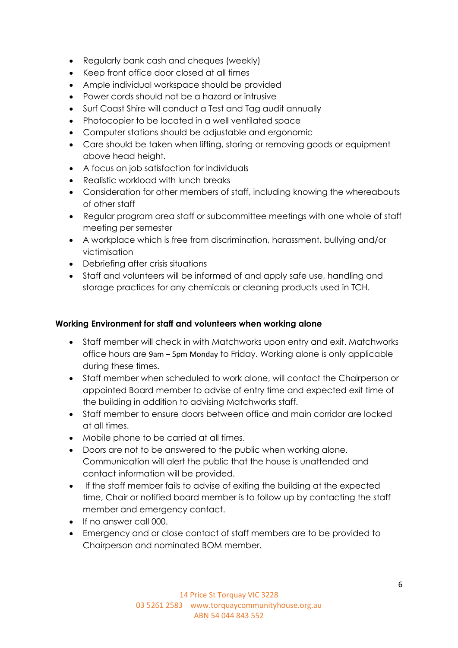- Regularly bank cash and cheques (weekly)
- Keep front office door closed at all times
- Ample individual workspace should be provided
- Power cords should not be a hazard or intrusive
- Surf Coast Shire will conduct a Test and Tag audit annually
- Photocopier to be located in a well ventilated space
- Computer stations should be adjustable and ergonomic
- Care should be taken when lifting, storing or removing goods or equipment above head height.
- A focus on job satisfaction for individuals
- Realistic workload with lunch breaks
- Consideration for other members of staff, including knowing the whereabouts of other staff
- Regular program area staff or subcommittee meetings with one whole of staff meeting per semester
- A workplace which is free from discrimination, harassment, bullying and/or victimisation
- Debriefing after crisis situations
- Staff and volunteers will be informed of and apply safe use, handling and storage practices for any chemicals or cleaning products used in TCH.

#### **Working Environment for staff and volunteers when working alone**

- Staff member will check in with Matchworks upon entry and exit. Matchworks office hours are 9am – [5pm Monday](https://springcreekcommunityhou.sharepoint.com/x-apple-data-detectors/::0) to Friday. Working alone is only applicable during these times.
- Staff member when scheduled to work alone, will contact the Chairperson or appointed Board member to advise of entry time and expected exit time of the building in addition to advising Matchworks staff.
- Staff member to ensure doors between office and main corridor are locked at all times.
- Mobile phone to be carried at all times.
- Doors are not to be answered to the public when working alone. Communication will alert the public that the house is unattended and contact information will be provided.
- If the staff member fails to advise of exiting the building at the expected time, Chair or notified board member is to follow up by contacting the staff member and emergency contact.
- If no answer call 000.
- Emergency and or close contact of staff members are to be provided to Chairperson and nominated BOM member.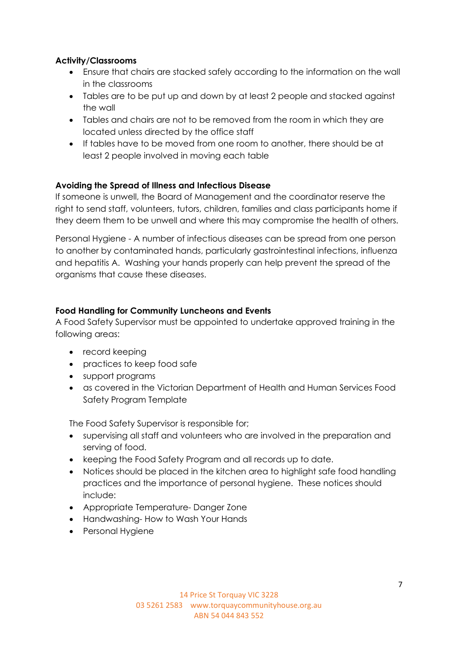#### **Activity/Classrooms**

- Ensure that chairs are stacked safely according to the information on the wall in the classrooms
- Tables are to be put up and down by at least 2 people and stacked against the wall
- Tables and chairs are not to be removed from the room in which they are located unless directed by the office staff
- If tables have to be moved from one room to another, there should be at least 2 people involved in moving each table

#### **Avoiding the Spread of Illness and Infectious Disease**

If someone is unwell, the Board of Management and the coordinator reserve the right to send staff, volunteers, tutors, children, families and class participants home if they deem them to be unwell and where this may compromise the health of others.

Personal Hygiene - A number of infectious diseases can be spread from one person to another by contaminated hands, particularly gastrointestinal infections, influenza and hepatitis A. Washing your hands properly can help prevent the spread of the organisms that cause these diseases.

#### **Food Handling for Community Luncheons and Events**

A Food Safety Supervisor must be appointed to undertake approved training in the following areas:

- record keeping
- practices to keep food safe
- support programs
- as covered in the Victorian Department of Health and Human Services Food Safety Program Template

The Food Safety Supervisor is responsible for;

- supervising all staff and volunteers who are involved in the preparation and serving of food.
- keeping the Food Safety Program and all records up to date.
- Notices should be placed in the kitchen area to highlight safe food handling practices and the importance of personal hygiene. These notices should include:
- Appropriate Temperature- Danger Zone
- Handwashing- How to Wash Your Hands
- Personal Hygiene